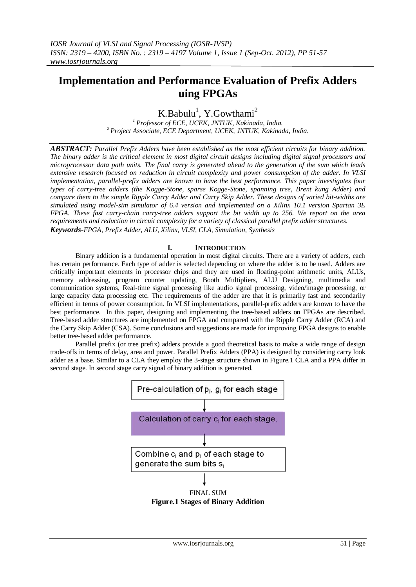# **Implementation and Performance Evaluation of Prefix Adders uing FPGAs**

K.Babulu<sup>1</sup>, Y.Gowthami<sup>2</sup>

*<sup>1</sup>Professor of ECE, UCEK, JNTUK, Kakinada, India. <sup>2</sup>Project Associate, ECE Department, UCEK, JNTUK, Kakinada, India.* 

*ABSTRACT: Parallel Prefix Adders have been established as the most efficient circuits for binary addition. The binary adder is the critical element in most digital circuit designs including digital signal processors and microprocessor data path units. The final carry is generated ahead to the generation of the sum which leads extensive research focused on reduction in circuit complexity and power consumption of the adder. In VLSI implementation, parallel-prefix adders are known to have the best performance. This paper investigates four types of carry-tree adders (the Kogge-Stone, sparse Kogge-Stone, spanning tree, Brent kung Adder) and compare them to the simple Ripple Carry Adder and Carry Skip Adder. These designs of varied bit-widths are simulated using model-sim simulator of 6.4 version and implemented on a Xilinx 10.1 version Spartan 3E FPGA. These fast carry-chain carry-tree adders support the bit width up to 256. We report on the area requirements and reduction in circuit complexity for a variety of classical parallel prefix adder structures. Keywords-FPGA, Prefix Adder, ALU, Xilinx, VLSI, CLA, Simulation, Synthesis*

## **I. INTRODUCTION**

 Binary addition is a fundamental operation in most digital circuits. There are a variety of adders, each has certain performance. Each type of adder is selected depending on where the adder is to be used. Adders are critically important elements in processor chips and they are used in floating-point arithmetic units, ALUs, memory addressing, program counter updating, Booth Multipliers, ALU Designing, multimedia and communication systems, Real-time signal processing like audio signal processing, video/image processing, or large capacity data processing etc. The requirements of the adder are that it is primarily fast and secondarily efficient in terms of power consumption. In VLSI implementations, parallel-prefix adders are known to have the best performance. In this paper, designing and implementing the tree-based adders on FPGAs are described. Tree-based adder structures are implemented on FPGA and compared with the Ripple Carry Adder (RCA) and the Carry Skip Adder (CSA). Some conclusions and suggestions are made for improving FPGA designs to enable better tree-based adder performance.

 Parallel prefix (or tree prefix) adders provide a good theoretical basis to make a wide range of design trade-offs in terms of delay, area and power. Parallel Prefix Adders (PPA) is designed by considering carry look adder as a base. Similar to a CLA they employ the 3-stage structure shown in Figure.1 CLA and a PPA differ in second stage. In second stage carry signal of binary addition is generated.

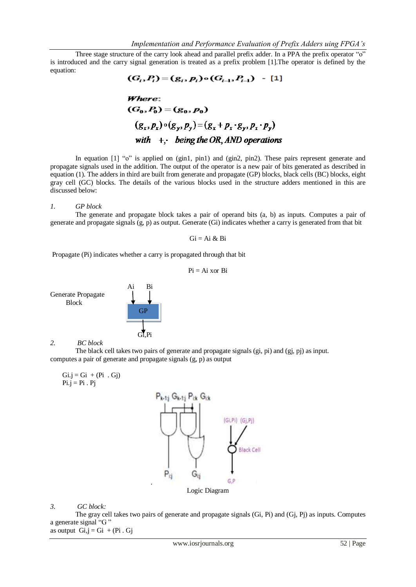Three stage structure of the carry look ahead and parallel prefix adder. In a PPA the prefix operator "o" is introduced and the carry signal generation is treated as a prefix problem [1].The operator is defined by the equation:

$$
(G_i, P_i) = (g_i, p_i) \circ (G_{i-1}, P_{i-1}) - [1]
$$

*Where:*  
\n
$$
(G_0, P_0) = (g_0, p_0)
$$
  
\n $(g_x, p_x) \circ (g_y, p_y) = (g_x + p_x \cdot g_y, p_x \cdot p_y)$   
\nwith +, being the OR, AND operations

In equation [1] "o" is applied on (gin1, pin1) and (gin2, pin2). These pairs represent generate and propagate signals used in the addition. The output of the operator is a new pair of bits generated as described in equation (1). The adders in third are built from generate and propagate (GP) blocks, black cells (BC) blocks, eight gray cell (GC) blocks. The details of the various blocks used in the structure adders mentioned in this are discussed below:

*1. GP block*

 The generate and propagate block takes a pair of operand bits (a, b) as inputs. Computes a pair of generate and propagate signals (g, p) as output. Generate (Gi) indicates whether a carry is generated from that bit

$$
Gi = Ai \& Bi
$$

Propagate (Pi) indicates whether a carry is propagated through that bit

GP

$$
Pi = Ai x or Bi
$$

 Ai Bi Generate Propagate Block

 Gi,Pi *2. BC block*

 The black cell takes two pairs of generate and propagate signals (gi, pi) and (gj, pj) as input. computes a pair of generate and propagate signals (g, p) as output

 $Gi.j = Gi + (Pi \cdot Gj)$  $Pi.j = Pi$ .  $Pi$ 



*3. GC block:* 

 The gray cell takes two pairs of generate and propagate signals (Gi, Pi) and (Gj, Pj) as inputs. Computes a generate signal "G "

as output  $Gi, j = Gi + (Pi \cdot Gi)$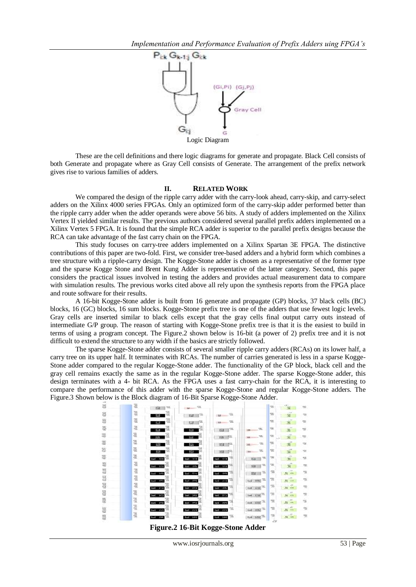

These are the cell definitions and there logic diagrams for generate and propagate. Black Cell consists of both Generate and propagate where as Gray Cell consists of Generate. The arrangement of the prefix network gives rise to various families of adders.

#### **II. RELATED WORK**

We compared the design of the ripple carry adder with the carry-look ahead, carry-skip, and carry-select adders on the Xilinx 4000 series FPGAs. Only an optimized form of the carry-skip adder performed better than the ripple carry adder when the adder operands were above 56 bits. A study of adders implemented on the Xilinx Vertex II yielded similar results. The previous authors considered several parallel prefix adders implemented on a Xilinx Vertex 5 FPGA. It is found that the simple RCA adder is superior to the parallel prefix designs because the RCA can take advantage of the fast carry chain on the FPGA.

This study focuses on carry-tree adders implemented on a Xilinx Spartan 3E FPGA. The distinctive contributions of this paper are two-fold. First, we consider tree-based adders and a hybrid form which combines a tree structure with a ripple-carry design. The Kogge-Stone adder is chosen as a representative of the former type and the sparse Kogge Stone and Brent Kung Adder is representative of the latter category. Second, this paper considers the practical issues involved in testing the adders and provides actual measurement data to compare with simulation results. The previous works cited above all rely upon the synthesis reports from the FPGA place and route software for their results.

A 16-bit Kogge-Stone adder is built from 16 generate and propagate (GP) blocks, 37 black cells (BC) blocks, 16 (GC) blocks, 16 sum blocks. Kogge-Stone prefix tree is one of the adders that use fewest logic levels. Gray cells are inserted similar to black cells except that the gray cells final output carry outs instead of intermediate G/P group. The reason of starting with Kogge-Stone prefix tree is that it is the easiest to build in terms of using a program concept. The Figure.2 shown below is 16-bit (a power of 2) prefix tree and it is not difficult to extend the structure to any width if the basics are strictly followed.

The sparse Kogge-Stone adder consists of several smaller ripple carry adders (RCAs) on its lower half, a carry tree on its upper half. It terminates with RCAs. The number of carries generated is less in a sparse Kogge-Stone adder compared to the regular Kogge-Stone adder. The functionality of the GP block, black cell and the gray cell remains exactly the same as in the regular Kogge-Stone adder. The sparse Kogge-Stone adder, this design terminates with a 4- bit RCA. As the FPGA uses a fast carry-chain for the RCA, it is interesting to compare the performance of this adder with the sparse Kogge-Stone and regular Kogge-Stone adders. The Figure.3 Shown below is the Block diagram of 16-Bit Sparse Kogge-Stone Adder.

|     | 46 | 128                |                       |                    |                              | 78             |            |                |
|-----|----|--------------------|-----------------------|--------------------|------------------------------|----------------|------------|----------------|
| 冦   | 겓  | $-500$             | 12 125                | $-144$             |                              | 78             |            | 128            |
| a   | 冱  | <b>STATISTICS</b>  | rа<br><b>Sul</b>      | $-344$             |                              | 100            |            | <b>TOP</b>     |
|     | 涯  | <b>START OF</b>    | <b>The Company</b>    | mt Sk<br>Eis       |                              | 79             |            | <sup>113</sup> |
| 骂   | 끸  | $-52 -$            | $-162 -$              | 13 -               | <b>SE</b>                    | 108            |            |                |
|     | 결  | $-368$             | <b>Separate</b>       | 162 TO             | 150                          | $\rightarrow$  | w          |                |
| 詎   | 涯  | --                 | <b>STATISTICS</b>     | 353 74             | VK.                          | <b>SE</b>      |            | 125            |
| 102 | 복  | <b>Suit Strip</b>  | Soft County           | but a cost         | Sit 176                      | $\sqrt{2}$     |            |                |
|     | 걸  | fort: two          | field and             | <b>But Libria</b>  | <b>150 mm</b>                | $\approx$      | Ń.         |                |
|     | 嗄  | <b>Sed Story</b>   | <b>Bank Street</b>    | limit story        | <b>GE 1</b>                  | 78             | Ni 414     | 159            |
| 뒄   | 곂  | <b>Buck</b> LANCA  | <b>Part of Figure</b> | <b>Dark March</b>  | <b>Los</b> and <sup>25</sup> | 78             |            | 155            |
| 2   | 温  | <b>Sold Marie</b>  | <b>Second Control</b> | Suit 1996          | $2.8 - 4.01$                 | -55            | $38 - 10$  | $-55$          |
| 믢   | ä  | Sec. 243           | Sed. 2401             | but the            | $1 - 1$ [218] $^{-1}$        | 懂              | $34 - 077$ | *B)            |
| 簋   | 긮  | Suit 1994          | Suit 1972             | Suit 208           | <b>Let und 2.</b>            | $-20$          | $36 - cm$  | 195            |
| 簋   | 温  | Suit all yout      | Section Prod.         | <b>Suit Arrest</b> | East [ me]                   | $\mathfrak{m}$ | $36 - 161$ | 75             |
|     | 긫  | <b>Suit (EDIA)</b> | <b>Suit Little</b>    | <b>Suit Look</b>   | <b>List State</b>            | 顶              | $56$ inte  | <b>SI</b>      |

**Figure.2 16-Bit Kogge-Stone Adder**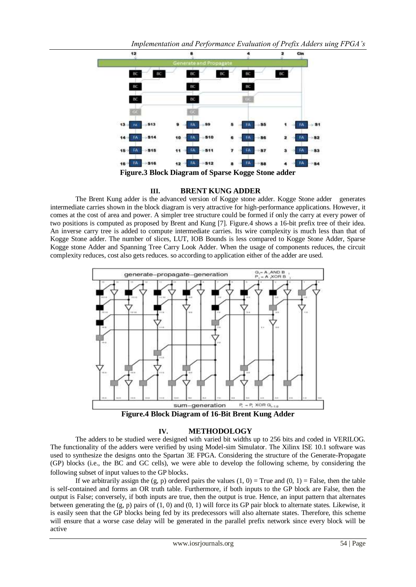

#### **III. BRENT KUNG ADDER**

The Brent Kung adder is the advanced version of Kogge stone adder. Kogge Stone adder generates intermediate carries shown in the block diagram is very attractive for high-performance applications. However, it comes at the cost of area and power. A simpler tree structure could be formed if only the carry at every power of two positions is computed as proposed by Brent and Kung [7]. Figure.4 shows a 16-bit prefix tree of their idea. An inverse carry tree is added to compute intermediate carries. Its wire complexity is much less than that of Kogge Stone adder. The number of slices, LUT, IOB Bounds is less compared to Kogge Stone Adder, Sparse Kogge stone Adder and Spanning Tree Carry Look Adder. When the usage of components reduces, the circuit complexity reduces, cost also gets reduces. so according to application either of the adder are used.



### **IV. METHODOLOGY**

The adders to be studied were designed with varied bit widths up to 256 bits and coded in VERILOG. The functionality of the adders were verified by using Model-sim Simulator. The Xilinx ISE 10.1 software was used to synthesize the designs onto the Spartan 3E FPGA. Considering the structure of the Generate-Propagate (GP) blocks (i.e., the BC and GC cells), we were able to develop the following scheme, by considering the following subset of input values to the GP blocks.

If we arbitrarily assign the  $(g, p)$  ordered pairs the values  $(1, 0)$  = True and  $(0, 1)$  = False, then the table is self-contained and forms an OR truth table. Furthermore, if both inputs to the GP block are False, then the output is False; conversely, if both inputs are true, then the output is true. Hence, an input pattern that alternates between generating the (g, p) pairs of (1, 0) and (0, 1) will force its GP pair block to alternate states. Likewise, it is easily seen that the GP blocks being fed by its predecessors will also alternate states. Therefore, this scheme will ensure that a worse case delay will be generated in the parallel prefix network since every block will be active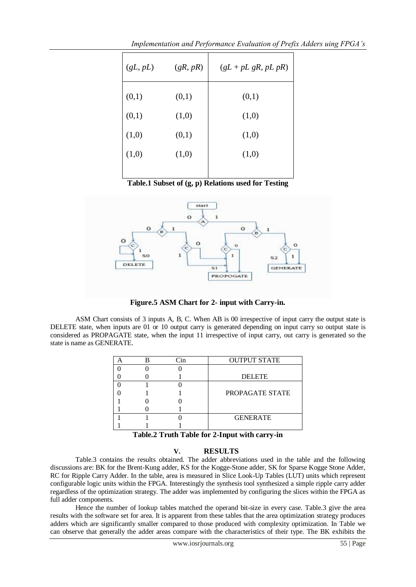| (gL, pL) | (gR, pR) | $(gL + pL gR, pL pR)$ |
|----------|----------|-----------------------|
| (0,1)    | (0,1)    | (0,1)                 |
| (0,1)    | (1,0)    | (1,0)                 |
| (1,0)    | (0,1)    | (1,0)                 |
| (1,0)    | (1,0)    | (1,0)                 |
|          |          |                       |

**Table.1 Subset of (g, p) Relations used for Testing**



**Figure.5 ASM Chart for 2- input with Carry-in.**

 ASM Chart consists of 3 inputs A, B, C. When AB is 00 irrespective of input carry the output state is DELETE state, when inputs are 01 or 10 output carry is generated depending on input carry so output state is considered as PROPAGATE state, when the input 11 irrespective of input carry, out carry is generated so the state is name as GENERATE.

|  | <b>OUTPUT STATE</b> |
|--|---------------------|
|  |                     |
|  | <b>DELETE</b>       |
|  |                     |
|  | PROPAGATE STATE     |
|  |                     |
|  |                     |
|  | <b>GENERATE</b>     |
|  |                     |

**Table.2 Truth Table for 2-Input with carry-in**

# **V. RESULTS**

Table.3 contains the results obtained. The adder abbreviations used in the table and the following discussions are: BK for the Brent-Kung adder, KS for the Kogge-Stone adder, SK for Sparse Kogge Stone Adder, RC for Ripple Carry Adder. In the table, area is measured in Slice Look-Up Tables (LUT) units which represent configurable logic units within the FPGA. Interestingly the synthesis tool synthesized a simple ripple carry adder regardless of the optimization strategy. The adder was implemented by configuring the slices within the FPGA as full adder components.

Hence the number of lookup tables matched the operand bit-size in every case. Table.3 give the area results with the software set for area. It is apparent from these tables that the area optimization strategy produces adders which are significantly smaller compared to those produced with complexity optimization. In Table we can observe that generally the adder areas compare with the characteristics of their type. The BK exhibits the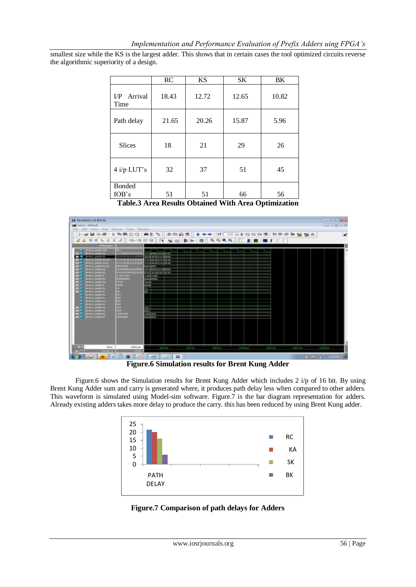smallest size while the KS is the largest adder. This shows that in certain cases the tool optimized circuits reverse the algorithmic superiority of a design.

|                        | <b>RC</b> | <b>KS</b> | SK    | BK    |
|------------------------|-----------|-----------|-------|-------|
| I/P Arrival<br>Time    | 18.43     | 12.72     | 12.65 | 10.82 |
| Path delay             | 21.65     | 20.26     | 15.87 | 5.96  |
| <b>Slices</b>          | 18        | 21        | 29    | 26    |
| 4 i/p LUT's            | 32        | 37        | 51    | 45    |
| <b>Bonded</b><br>IOB's | 51        | 51        | 66    | 56    |

**Table.3 Area Results Obtained With Area Optimization**



**Figure.6 Simulation results for Brent Kung Adder**

Figure.6 shows the Simulation results for Brent Kung Adder which includes 2 i/p of 16 bit. By using Brent Kung Adder sum and carry is generated where, it produces path delay less when compared to other adders. This waveform is simulated using Model-sim software. Figure.7 is the bar diagram representation for adders. Already existing adders takes more delay to produce the carry. this has been reduced by using Brent Kung adder.



**Figure.7 Comparison of path delays for Adders**